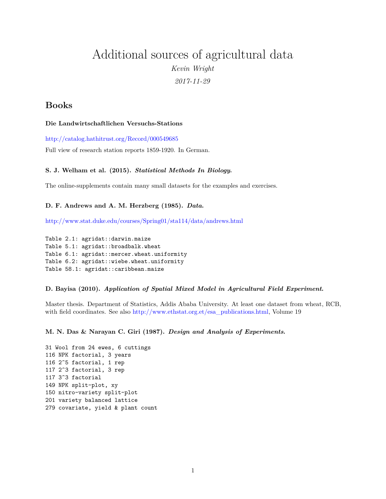# Additional sources of agricultural data *Kevin Wright 2017-11-29*

# **Books**

### **Die Landwirtschaftlichen Versuchs-Stations**

<http://catalog.hathitrust.org/Record/000549685>

Full view of research station reports 1859-1920. In German.

# **S. J. Welham et al. (2015).** *Statistical Methods In Biology***.**

The online-supplements contain many small datasets for the examples and exercises.

### **D. F. Andrews and A. M. Herzberg (1985).** *Data***.**

<http://www.stat.duke.edu/courses/Spring01/sta114/data/andrews.html>

Table 2.1: agridat::darwin.maize Table 5.1: agridat::broadbalk.wheat Table 6.1: agridat::mercer.wheat.uniformity Table 6.2: agridat::wiebe.wheat.uniformity Table 58.1: agridat::caribbean.maize

#### **D. Bayisa (2010).** *Application of Spatial Mixed Model in Agricultural Field Experiment***.**

Master thesis. Department of Statistics, Addis Ababa University. At least one dataset from wheat, RCB, with field coordinates. See also [http://www.ethstat.org.et/esa\\_publications.html,](http://www.ethstat.org.et/esa_publications.html) Volume 19

**M. N. Das & Narayan C. Giri (1987).** *Design and Analysis of Experiments***.**

31 Wool from 24 ewes, 6 cuttings 116 NPK factorial, 3 years 116 2^5 factorial, 1 rep 117 2^3 factorial, 3 rep 117 3^3 factorial 149 NPK split-plot, xy 150 nitro-variety split-plot 201 variety balanced lattice 279 covariate, yield & plant count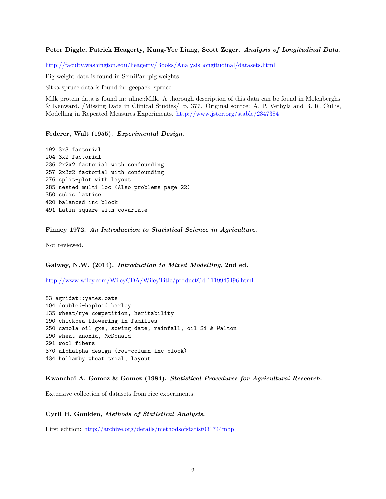**Peter Diggle, Patrick Heagerty, Kung-Yee Liang, Scott Zeger.** *Analysis of Longitudinal Data***.**

<http://faculty.washington.edu/heagerty/Books/AnalysisLongitudinal/datasets.html>

Pig weight data is found in SemiPar::pig.weights

Sitka spruce data is found in: geepack::spruce

Milk protein data is found in: nlme::Milk. A thorough description of this data can be found in Molenberghs & Kenward, /Missing Data in Clinical Studies/, p. 377. Original source: A. P. Verbyla and B. R. Cullis, Modelling in Repeated Measures Experiments. <http://www.jstor.org/stable/2347384>

**Federer, Walt (1955).** *Experimental Design***.**

```
192 3x3 factorial
204 3x2 factorial
236 2x2x2 factorial with confounding
257 2x3x2 factorial with confounding
276 split-plot with layout
285 nested multi-loc (Also problems page 22)
350 cubic lattice
420 balanced inc block
491 Latin square with covariate
```
#### **Finney 1972.** *An Introduction to Statistical Science in Agriculture***.**

Not reviewed.

**Galwey, N.W. (2014).** *Introduction to Mixed Modelling***, 2nd ed.**

<http://www.wiley.com/WileyCDA/WileyTitle/productCd-1119945496.html>

83 agridat::yates.oats 104 doubled-haploid barley 135 wheat/rye competition, heritability 190 chickpea flowering in families 250 canola oil gxe, sowing date, rainfall, oil Si & Walton 290 wheat anoxia, McDonald 291 wool fibers 370 alphalpha design (row-column inc block) 434 hollamby wheat trial, layout

**Kwanchai A. Gomez & Gomez (1984).** *Statistical Procedures for Agricultural Research***.**

Extensive collection of datasets from rice experiments.

#### **Cyril H. Goulden,** *Methods of Statistical Analysis***.**

First edition: <http://archive.org/details/methodsofstatist031744mbp>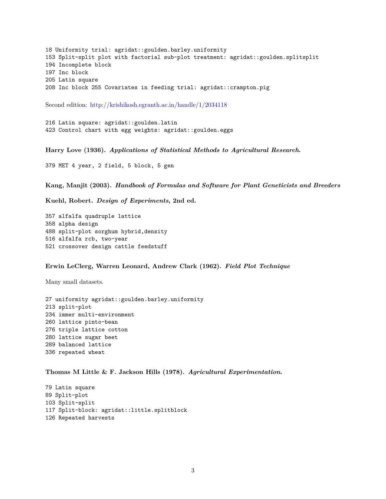18 Uniformity trial: agridat::goulden.barley.uniformity 153 Split-split plot with factorial sub-plot treatment: agridat::goulden.splitsplit 194 Incomplete block 197 Inc block 205 Latin square 208 Inc block 255 Covariates in feeding trial: agridat::crampton.pig

Second edition: <http://krishikosh.egranth.ac.in/handle/1/2034118>

216 Latin square: agridat::goulden.latin 423 Control chart with egg weights: agridat::goulden.eggs

**Harry Love (1936).** *Applications of Statistical Methods to Agricultural Research***.**

379 MET 4 year, 2 field, 5 block, 5 gen

**Kang, Manjit (2003).** *Handbook of Formulas and Software for Plant Geneticists and Breeders*

**Kuehl, Robert.** *Design of Experiments***, 2nd ed.**

357 alfalfa quadruple lattice 358 alpha design 488 split-plot sorghum hybrid,density 516 alfalfa rcb, two-year 521 crossover design cattle feedstuff

#### **Erwin LeClerg, Warren Leonard, Andrew Clark (1962).** *Field Plot Technique*

Many small datasets.

27 uniformity agridat::goulden.barley.uniformity 213 split-plot 234 immer multi-environment 260 lattice pinto-bean 276 triple lattice cotton 280 lattice sugar beet 289 balanced lattice 336 repeated wheat

**Thomas M Little & F. Jackson Hills (1978).** *Agricultural Experimentation***.**

79 Latin square 89 Split-plot 103 Split-split 117 Split-block: agridat::little.splitblock 126 Repeated harvests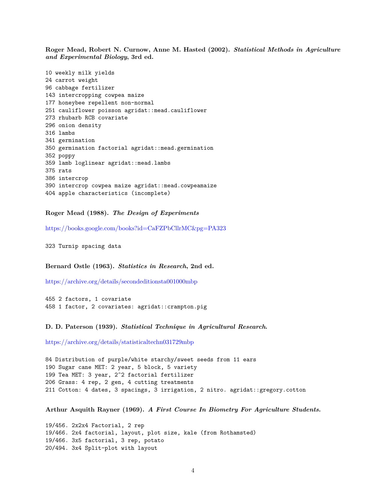**Roger Mead, Robert N. Curnow, Anne M. Hasted (2002).** *Statistical Methods in Agriculture and Experimental Biology***, 3rd ed.**

```
10 weekly milk yields
24 carrot weight
96 cabbage fertilizer
143 intercropping cowpea maize
177 honeybee repellent non-normal
251 cauliflower poisson agridat::mead.cauliflower
273 rhubarb RCB covariate
296 onion density
316 lambs
341 germination
350 germination factorial agridat::mead.germination
352 poppy
359 lamb loglinear agridat::mead.lambs
375 rats
386 intercrop
390 intercrop cowpea maize agridat::mead.cowpeamaize
404 apple characteristics (incomplete)
```
**Roger Mead (1988).** *The Design of Experiments*

<https://books.google.com/books?id=CaFZPbCllrMC&pg=PA323>

323 Turnip spacing data

**Bernard Ostle (1963).** *Statistics in Research***, 2nd ed.**

<https://archive.org/details/secondeditionsta001000mbp>

455 2 factors, 1 covariate 458 1 factor, 2 covariates: agridat::crampton.pig

**D. D. Paterson (1939).** *Statistical Technique in Agricultural Research***.**

<https://archive.org/details/statisticaltechn031729mbp>

84 Distribution of purple/white starchy/sweet seeds from 11 ears 190 Sugar cane MET: 2 year, 5 block, 5 variety 199 Tea MET: 3 year, 2^2 factorial fertilizer 206 Grass: 4 rep, 2 gen, 4 cutting treatments 211 Cotton: 4 dates, 3 spacings, 3 irrigation, 2 nitro. agridat::gregory.cotton

**Arthur Asquith Rayner (1969).** *A First Course In Biometry For Agriculture Students***.**

19/456. 2x2x4 Factorial, 2 rep 19/466. 2x4 factorial, layout, plot size, kale (from Rothamsted) 19/466. 3x5 factorial, 3 rep, potato 20/494. 3x4 Split-plot with layout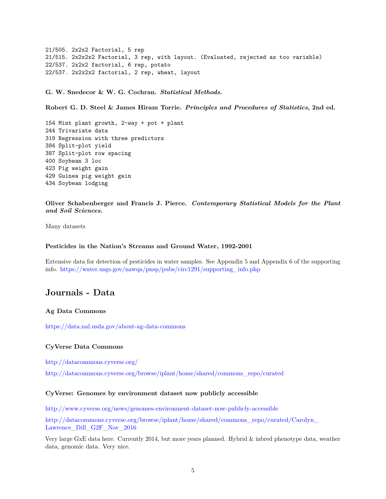21/505. 2x2x2 Factorial, 5 rep 21/515. 2x2x2x2 Factorial, 3 rep, with layout. (Evaluated, rejected as too variable) 22/537. 2x2x2 factorial, 6 rep, potato 22/537. 2x2x2x2 factorial, 2 rep, wheat, layout

**G. W. Snedecor & W. G. Cochran.** *Statistical Methods***.**

**Robert G. D. Steel & James Hiram Torrie.** *Principles and Procedures of Statistics***, 2nd ed.**

154 Mint plant growth, 2-way + pot + plant 244 Trivariate data 319 Regression with three predictors 384 Split-plot yield 387 Split-plot row spacing 400 Soybean 3 loc 423 Pig weight gain 429 Guinea pig weight gain 434 Soybean lodging

**Oliver Schabenberger and Francis J. Pierce.** *Contemporary Statistical Models for the Plant and Soil Sciences***.**

Many datasets

# **Pesticides in the Nation's Streams and Ground Water, 1992-2001**

Extensive data for detection of pesticides in water samples. See Appendix 5 and Appendix 6 of the supporting info. [https://water.usgs.gov/nawqa/pnsp/pubs/circ1291/supporting\\_info.php](https://water.usgs.gov/nawqa/pnsp/pubs/circ1291/supporting_info.php)

# **Journals - Data**

### **Ag Data Commons**

<https://data.nal.usda.gov/about-ag-data-commons>

#### **CyVerse Data Commons**

<http://datacommons.cyverse.org/>

[http://datacommons.cyverse.org/browse/iplant/home/shared/commons\\_repo/curated](http://datacommons.cyverse.org/browse/iplant/home/shared/commons_repo/curated)

#### **CyVerse: Genomes by environment dataset now publicly accessible**

<http://www.cyverse.org/news/genomes-environment-dataset-now-publicly-accessible>

[http://datacommons.cyverse.org/browse/iplant/home/shared/commons\\_repo/curated/Carolyn\\_](http://datacommons.cyverse.org/browse/iplant/home/shared/commons_repo/curated/Carolyn_Lawrence_Dill_G2F_Nov_2016) [Lawrence\\_Dill\\_G2F\\_Nov\\_2016](http://datacommons.cyverse.org/browse/iplant/home/shared/commons_repo/curated/Carolyn_Lawrence_Dill_G2F_Nov_2016)

Very large GxE data here. Currently 2014, but more years planned. Hybrid & inbred phenotype data, weather data, genomic data. Very nice.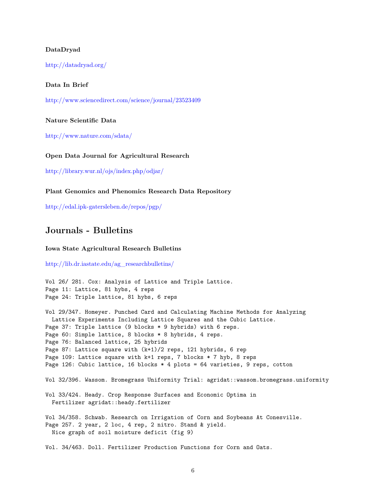#### **DataDryad**

<http://datadryad.org/>

#### **Data In Brief**

<http://www.sciencedirect.com/science/journal/23523409>

**Nature Scientific Data**

<http://www.nature.com/sdata/>

**Open Data Journal for Agricultural Research**

<http://library.wur.nl/ojs/index.php/odjar/>

**Plant Genomics and Phenomics Research Data Repository**

<http://edal.ipk-gatersleben.de/repos/pgp/>

# **Journals - Bulletins**

#### **Iowa State Agricultural Research Bulletins**

[http://lib.dr.iastate.edu/ag\\_researchbulletins/](http://lib.dr.iastate.edu/ag_researchbulletins/)

Vol 26/ 281. Cox: Analysis of Lattice and Triple Lattice. Page 11: Lattice, 81 hybs, 4 reps Page 24: Triple lattice, 81 hybs, 6 reps

Vol 29/347. Homeyer. Punched Card and Calculating Machine Methods for Analyzing Lattice Experiments Including Lattice Squares and the Cubic Lattice. Page 37: Triple lattice (9 blocks \* 9 hybrids) with 6 reps. Page 60: Simple lattice, 8 blocks \* 8 hybrids, 4 reps. Page 76: Balanced lattice, 25 hybrids Page 87: Lattice square with (k+1)/2 reps, 121 hybrids, 6 rep Page 109: Lattice square with k+1 reps, 7 blocks \* 7 hyb, 8 reps Page 126: Cubic lattice, 16 blocks \* 4 plots = 64 varieties, 9 reps, cotton Vol 32/396. Wassom. Bromegrass Uniformity Trial: agridat::wassom.bromegrass.uniformity Vol 33/424. Heady. Crop Response Surfaces and Economic Optima in Fertilizer agridat::heady.fertilizer Vol 34/358. Schwab. Research on Irrigation of Corn and Soybeans At Conesville. Page 257. 2 year, 2 loc, 4 rep, 2 nitro. Stand & yield. Nice graph of soil moisture deficit (fig 9)

Vol. 34/463. Doll. Fertilizer Production Functions for Corn and Oats.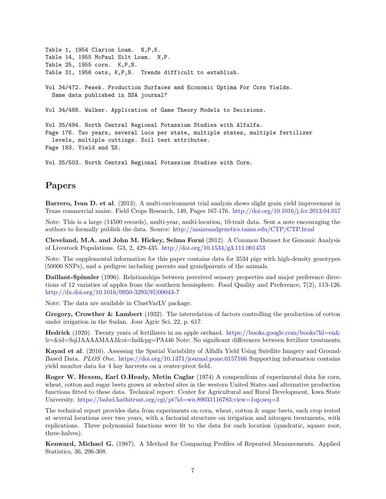```
Table 1, 1954 Clarion Loam. N,P,K.
Table 14, 1955 McPaul Silt Loam. N,P.
Table 25, 1955 corn. K,P,N.
Table 31, 1956 oats, K,P,N. Trends difficult to establish.
Vol 34/472. Pesek. Production Surfaces and Economic Optima For Corn Yields.
  Same data published in SSA journal?
Vol 34/488. Walker. Application of Game Theory Models to Decisions.
Vol 35/494. North Central Regional Potassium Studies with Alfalfa.
Page 176. Two years, several locs per state, multiple states, multiple fertilizer
  levels, multiple cuttings. Soil test attributes.
Page 183. Yield and %K.
```
Vol 35/503. North Central Regional Potassium Studies with Corn.

# **Papers**

**Barrero, Ivan D. et al**. (2013). A multi-environment trial analysis shows slight grain yield improvement in Texas commercial maize. Field Crops Research, 149, Pages 167-176. <http://doi.org/10.1016/j.fcr.2013.04.017>

Note: This is a large (14500 records), multi-year, multi-location, 10-trait data. Sent a note encouraging the authors to formally publish the data. Source: <http://maizeandgenetics.tamu.edu/CTP/CTP.html>

**Cleveland, M.A. and John M. Hickey, Selma Forni** (2012). A Common Dataset for Genomic Analysis of Livestock Populations. G3, 2, 429-435. <http://doi.org/10.1534/g3.111.001453>

Note: The supplemental information for this paper contains data for 3534 pigs with high-density genotypes (50000 SNPs), and a pedigree including parents and grandparents of the animals.

**Daillant-Spinnler** (1996). Relationships between perceived sensory properties and major preference directions of 12 variaties of apples from the southern hemisphere. Food Quality and Preference, 7(2), 113-126. [http://dx.doi.org/10.1016/0950-3293\(95\)00043-7](http://dx.doi.org/10.1016/0950-3293(95)00043-7)

Note: The data are available in ClustVarLV package.

**Gregory, Crowther & Lambert** (1932). The interrelation of factors controlling the production of cotton under irrigation in the Sudan. Jour Agric Sci, 22, p. 617.

**Hedrick** (1920). Twenty years of fertilizers in an apple orchard. [https://books.google.com/books?hl=en&](https://books.google.com/books?hl=en&lr) [lr=](https://books.google.com/books?hl=en&lr)&id=SqlJAAAAMAAJ&oi=fnd&pg=PA446 Note: No significant differences between fertilizer treatments.

**Kayad et al**. (2016). Assessing the Spatial Variability of Alfalfa Yield Using Satellite Imagery and Ground-Based Data. *PLOS One*. <https://doi.org/10.1371/journal.pone.0157166> Supporting information contains yield monitor data for 4 hay harvests on a center-pivot field.

**Roger W. Hexem, Earl O.Heady, Metin Caglar** (1974) A compendium of experimental data for corn, wheat, cotton and sugar beets grown at selected sites in the western United States and alternative production functions fitted to these data. Technical report: Center for Agricultural and Rural Development, Iowa State University. <https://babel.hathitrust.org/cgi/pt?id=wu.89031116783;view=1up;seq=3>

The technical report provides data from experiments on corn, wheat, cotton & sugar beets, each crop tested at several locations over two years, with a factorial structure on irrigation and nitrogen treatments, with replications. Three polynomial functions were fit to the data for each location (quadratic, square root, three-halves).

**Kenward, Michael G.** (1987). A Method for Comparing Profiles of Repeated Measurements. Applied Statistics, 36, 296-308.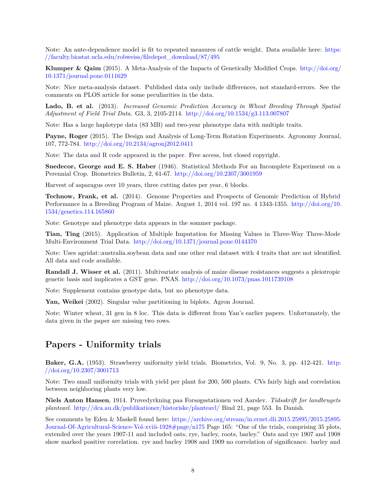Note: An ante-dependence model is fit to repeated measures of cattle weight. Data available here: [https:](https://faculty.biostat.ucla.edu/robweiss/filedepot_download/87/495) [//faculty.biostat.ucla.edu/robweiss/filedepot\\_download/87/495](https://faculty.biostat.ucla.edu/robweiss/filedepot_download/87/495)

**Klumper & Qaim** (2015). A Meta-Analysis of the Impacts of Genetically Modified Crops. [http://doi.org/](http://doi.org/10.1371/journal.pone.0111629) [10.1371/journal.pone.0111629](http://doi.org/10.1371/journal.pone.0111629)

Note: Nice meta-analysis dataset. Published data only include differences, not standard-errors. See the comments on PLOS article for some peculiarities in the data.

**Lado, B. et al.** (2013). *Increased Genomic Prediction Accuracy in Wheat Breeding Through Spatial Adjustment of Field Trial Data*. G3, 3, 2105-2114. <http://doi.org/10.1534/g3.113.007807>

Note: Has a large haplotype data (83 MB) and two-year phenotype data with multiple traits.

**Payne, Roger** (2015). The Design and Analysis of Long-Term Rotation Experiments. Agronomy Journal, 107, 772-784. <http://doi.org/10.2134/agronj2012.0411>

Note: The data and R code appeared in the paper. Free access, but closed copyright.

**Snedecor, George and E. S. Haber** (1946). Statistical Methods For an Incomplete Experiment on a Perennial Crop. Biometrics Bulletin, 2, 61-67. <http://doi.org/10.2307/3001959>

Harvest of asparagus over 10 years, three cutting dates per year, 6 blocks.

**Technow, Frank, et al.** (2014). Genome Properties and Prospects of Genomic Prediction of Hybrid Performance in a Breeding Program of Maize. August 1, 2014 vol. 197 no. 4 1343-1355. [http://doi.org/10.](http://doi.org/10.1534/genetics.114.165860) [1534/genetics.114.165860](http://doi.org/10.1534/genetics.114.165860)

Note: Genotype and phenotype data appears in the sommer package.

**Tian, Ting** (2015). Application of Multiple Imputation for Missing Values in Three-Way Three-Mode Multi-Environment Trial Data. <http://doi.org/10.1371/journal.pone.0144370>

Note: Uses agridat::australia.soybean data and one other real dataset with 4 traits that are not identified. All data and code available.

**Randall J. Wisser et al.** (2011). Multivariate analysis of maize disease resistances suggests a pleiotropic genetic basis and implicates a GST gene. PNAS. <http://doi.org/10.1073/pnas.1011739108>

Note: Supplement contains genotype data, but no phenotype data.

**Yan, Weikei** (2002). Singular value partitioning in biplots. Agron Journal.

Note: Winter wheat, 31 gen in 8 loc. This data is different from Yan's earlier papers. Unfortunately, the data given in the paper are missing two rows.

# **Papers - Uniformity trials**

**Baker, G.A.** (1953). Strawberry uniformity yield trials. Biometrics, Vol. 9, No. 3, pp. 412-421. [http:](http://doi.org/10.2307/3001713) [//doi.org/10.2307/3001713](http://doi.org/10.2307/3001713)

Note: Two small uniformity trials with yield per plant for 200, 500 plants. CVs fairly high and correlation between neighboring plants very low.

**Niels Anton Hansen**, 1914. Prøvedyrkning paa Forsøgsstationen ved Aarslev. *Tidsskrift for landbrugets planteavl*. <http://dca.au.dk/publikationer/historiske/planteavl/> Bind 21, page 553. In Danish.

See comments by Eden & Maskell found here: [https://archive.org/stream/in.ernet.dli.2015.25895/2015.25895.](https://archive.org/stream/in.ernet.dli.2015.25895/2015.25895.Journal-Of-Agricultural-Science-Vol-xviii-1928#page/n175) [Journal-Of-Agricultural-Science-Vol-xviii-1928#page/n175](https://archive.org/stream/in.ernet.dli.2015.25895/2015.25895.Journal-Of-Agricultural-Science-Vol-xviii-1928#page/n175) Page 165: "One of the trials, comprising 35 plots, extended over the years 1907-11 and included oats, rye, barley, roots, barley." Oats and rye 1907 and 1908 show marked positive correlation. rye and barley 1908 and 1909 no correlation of significance. barley and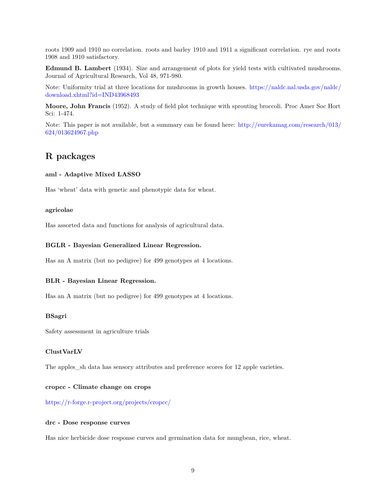roots 1909 and 1910 no correlation. roots and barley 1910 and 1911 a significant correlation. rye and roots 1908 and 1910 satisfactory.

**Edmund B. Lambert** (1934). Size and arrangement of plots for yield tests with cultivated mushrooms. Journal of Agricultural Research, Vol 48, 971-980.

Note: Uniformity trial at three locations for mushrooms in growth houses. [https://naldc.nal.usda.gov/naldc/](https://naldc.nal.usda.gov/naldc/download.xhtml?id=IND43968493) [download.xhtml?id=IND43968493](https://naldc.nal.usda.gov/naldc/download.xhtml?id=IND43968493)

**Moore, John Francis** (1952). A study of field plot technique with sprouting broccoli. Proc Amer Soc Hort Sci: 1-474.

Note: This paper is not available, but a summary can be found here: [http://eurekamag.com/research/013/](http://eurekamag.com/research/013/624/013624967.php) [624/013624967.php](http://eurekamag.com/research/013/624/013624967.php)

# **R packages**

#### **aml - Adaptive Mixed LASSO**

Has 'wheat' data with genetic and phenotypic data for wheat.

### **agricolae**

Has assorted data and functions for analysis of agricultural data.

### **BGLR - Bayesian Generalized Linear Regression.**

Has an A matrix (but no pedigree) for 499 genotypes at 4 locations.

#### **BLR - Bayesian Linear Regression.**

Has an A matrix (but no pedigree) for 499 genotypes at 4 locations.

#### **BSagri**

Safety assessment in agriculture trials

### **ClustVarLV**

The apples\_sh data has sensory attributes and preference scores for 12 apple varieties.

#### **cropcc - Climate change on crops**

<https://r-forge.r-project.org/projects/cropcc/>

#### **drc - Dose response curves**

Has nice herbicide dose response curves and germination data for mungbean, rice, wheat.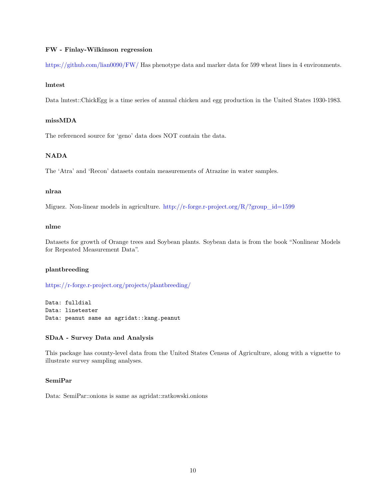#### **FW - Finlay-Wilkinson regression**

<https://github.com/lian0090/FW/> Has phenotype data and marker data for 599 wheat lines in 4 environments.

#### **lmtest**

Data lmtest::ChickEgg is a time series of annual chicken and egg production in the United States 1930-1983.

# **missMDA**

The referenced source for 'geno' data does NOT contain the data.

# **NADA**

The 'Atra' and 'Recon' datasets contain measurements of Atrazine in water samples.

#### **nlraa**

Miguez. Non-linear models in agriculture. [http://r-forge.r-project.org/R/?group\\_id=1599](http://r-forge.r-project.org/R/?group_id=1599)

### **nlme**

Datasets for growth of Orange trees and Soybean plants. Soybean data is from the book "Nonlinear Models for Repeated Measurement Data".

# **plantbreeding**

<https://r-forge.r-project.org/projects/plantbreeding/>

Data: fulldial Data: linetester Data: peanut same as agridat:: kang.peanut

# **SDaA - Survey Data and Analysis**

This package has county-level data from the United States Census of Agriculture, along with a vignette to illustrate survey sampling analyses.

#### **SemiPar**

Data: SemiPar::onions is same as agridat::ratkowski.onions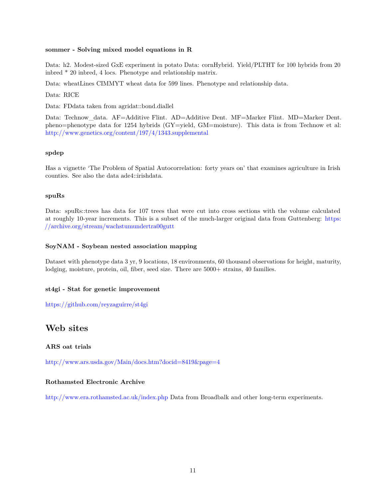#### **sommer - Solving mixed model equations in R**

Data: h2. Modest-sized GxE experiment in potato Data: cornHybrid. Yield/PLTHT for 100 hybrids from 20 inbred \* 20 inbred, 4 locs. Phenotype and relationship matrix.

Data: wheatLines CIMMYT wheat data for 599 lines. Phenotype and relationship data.

Data: RICE

Data: FDdata taken from agridat::bond.diallel

Data: Technow data. AF=Additive Flint. AD=Additive Dent. MF=Marker Flint. MD=Marker Dent. pheno=phenotype data for 1254 hybrids (GY=yield, GM=moisture). This data is from Technow et al: <http://www.genetics.org/content/197/4/1343.supplemental>

# **spdep**

Has a vignette 'The Problem of Spatial Autocorrelation: forty years on' that examines agriculture in Irish counties. See also the data ade4::irishdata.

### **spuRs**

Data: spuRs::trees has data for 107 trees that were cut into cross sections with the volume calculated at roughly 10-year increments. This is a subset of the much-larger original data from Guttenberg: [https:](https://archive.org/stream/wachstumundertra00gutt) [//archive.org/stream/wachstumundertra00gutt](https://archive.org/stream/wachstumundertra00gutt)

### **SoyNAM - Soybean nested association mapping**

Dataset with phenotype data 3 yr, 9 locations, 18 environments, 60 thousand observations for height, maturity, lodging, moisture, protein, oil, fiber, seed size. There are  $5000+$  strains, 40 families.

# **st4gi - Stat for genetic improvement**

<https://github.com/reyzaguirre/st4gi>

# **Web sites**

**ARS oat trials**

<http://www.ars.usda.gov/Main/docs.htm?docid=8419&page=4>

# **Rothamsted Electronic Archive**

<http://www.era.rothamsted.ac.uk/index.php> Data from Broadbalk and other long-term experiments.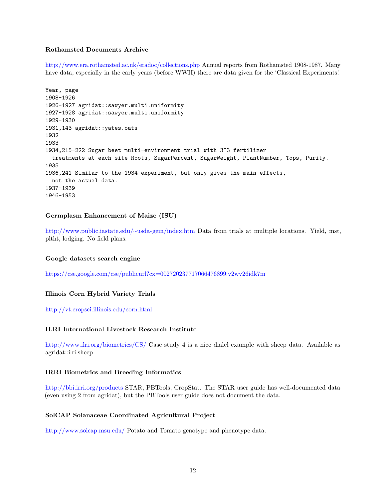#### **Rothamsted Documents Archive**

<http://www.era.rothamsted.ac.uk/eradoc/collections.php> Annual reports from Rothamsted 1908-1987. Many have data, especially in the early years (before WWII) there are data given for the 'Classical Experiments'.

```
Year, page
1908-1926
1926-1927 agridat::sawyer.multi.uniformity
1927-1928 agridat::sawyer.multi.uniformity
1929-1930
1931,143 agridat::yates.oats
1932
1933
1934,215-222 Sugar beet multi-environment trial with 3^3 fertilizer
 treatments at each site Roots, SugarPercent, SugarWeight, PlantNumber, Tops, Purity.
1935
1936,241 Similar to the 1934 experiment, but only gives the main effects,
 not the actual data.
1937-1939
1946-1953
```
#### **Germplasm Enhancement of Maize (ISU)**

<http://www.public.iastate.edu/~usda-gem/index.htm> Data from trials at multiple locations. Yield, mst, pltht, lodging. No field plans.

#### **Google datasets search engine**

<https://cse.google.com/cse/publicurl?cx=002720237717066476899:v2wv26idk7m>

# **Illinois Corn Hybrid Variety Trials**

<http://vt.cropsci.illinois.edu/corn.html>

#### **ILRI International Livestock Research Institute**

<http://www.ilri.org/biometrics/CS/> Case study 4 is a nice dialel example with sheep data. Available as agridat::ilri.sheep

#### **IRRI Biometrics and Breeding Informatics**

<http://bbi.irri.org/products> STAR, PBTools, CropStat. The STAR user guide has well-documented data (even using 2 from agridat), but the PBTools user guide does not document the data.

### **SolCAP Solanaceae Coordinated Agricultural Project**

<http://www.solcap.msu.edu/> Potato and Tomato genotype and phenotype data.